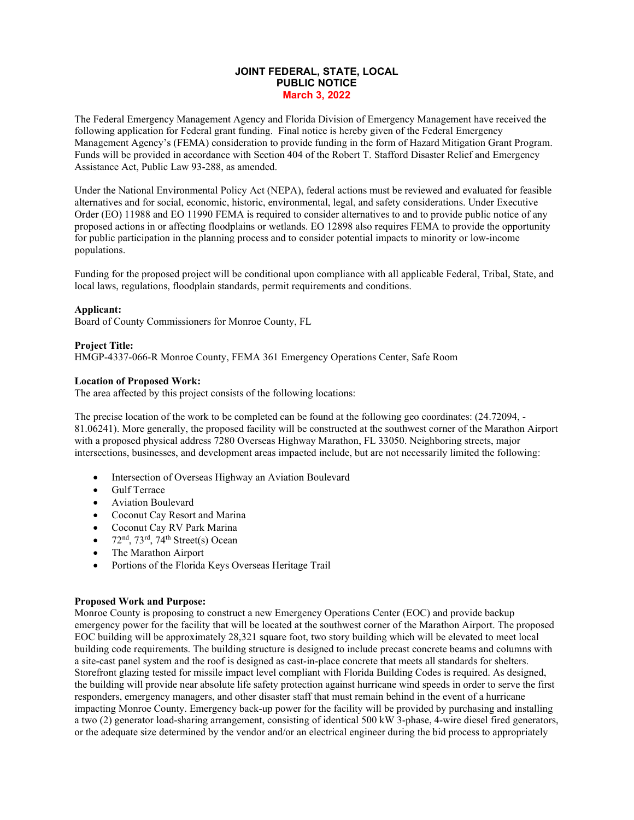# **JOINT FEDERAL, STATE, LOCAL PUBLIC NOTICE March 3, 2022**

The Federal Emergency Management Agency and Florida Division of Emergency Management have received the following application for Federal grant funding. Final notice is hereby given of the Federal Emergency Management Agency's (FEMA) consideration to provide funding in the form of Hazard Mitigation Grant Program. Funds will be provided in accordance with Section 404 of the Robert T. Stafford Disaster Relief and Emergency Assistance Act, Public Law 93-288, as amended.

Under the National Environmental Policy Act (NEPA), federal actions must be reviewed and evaluated for feasible alternatives and for social, economic, historic, environmental, legal, and safety considerations. Under Executive Order (EO) 11988 and EO 11990 FEMA is required to consider alternatives to and to provide public notice of any proposed actions in or affecting floodplains or wetlands. EO 12898 also requires FEMA to provide the opportunity for public participation in the planning process and to consider potential impacts to minority or low-income populations.

Funding for the proposed project will be conditional upon compliance with all applicable Federal, Tribal, State, and local laws, regulations, floodplain standards, permit requirements and conditions.

## **Applicant:**

Board of County Commissioners for Monroe County, FL

## **Project Title:**

HMGP-4337-066-R Monroe County, FEMA 361 Emergency Operations Center, Safe Room

## **Location of Proposed Work:**

The area affected by this project consists of the following locations:

The precise location of the work to be completed can be found at the following geo coordinates: (24.72094, - 81.06241). More generally, the proposed facility will be constructed at the southwest corner of the Marathon Airport with a proposed physical address 7280 Overseas Highway Marathon, FL 33050. Neighboring streets, major intersections, businesses, and development areas impacted include, but are not necessarily limited the following:

- Intersection of Overseas Highway an Aviation Boulevard
- Gulf Terrace
- Aviation Boulevard
- Coconut Cay Resort and Marina
- Coconut Cay RV Park Marina
- $72<sup>nd</sup>$ ,  $73<sup>rd</sup>$ ,  $74<sup>th</sup> Street(s) Ocean$
- The Marathon Airport
- Portions of the Florida Keys Overseas Heritage Trail

### **Proposed Work and Purpose:**

Monroe County is proposing to construct a new Emergency Operations Center (EOC) and provide backup emergency power for the facility that will be located at the southwest corner of the Marathon Airport. The proposed EOC building will be approximately 28,321 square foot, two story building which will be elevated to meet local building code requirements. The building structure is designed to include precast concrete beams and columns with a site-cast panel system and the roof is designed as cast-in-place concrete that meets all standards for shelters. Storefront glazing tested for missile impact level compliant with Florida Building Codes is required. As designed, the building will provide near absolute life safety protection against hurricane wind speeds in order to serve the first responders, emergency managers, and other disaster staff that must remain behind in the event of a hurricane impacting Monroe County. Emergency back-up power for the facility will be provided by purchasing and installing a two (2) generator load-sharing arrangement, consisting of identical 500 kW 3-phase, 4-wire diesel fired generators, or the adequate size determined by the vendor and/or an electrical engineer during the bid process to appropriately